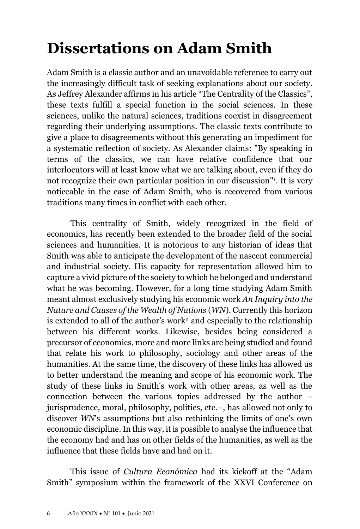## **Dissertations on Adam Smith**

Adam Smith is a classic author and an unavoidable reference to carry out the increasingly difficult task of seeking explanations about our society. As Jeffrey Alexander affirms in his article "The Centrality of the Classics", these texts fulfill a special function in the social sciences. In these sciences, unlike the natural sciences, traditions coexist in disagreement regarding their underlying assumptions. The classic texts contribute to give a place to disagreements without this generating an impediment for a systematic reflection of society. As Alexander claims: "By speaking in terms of the classics, we can have relative confidence that our interlocutors will at least know what we are talking about, even if they do not recognize their own particular position in our discussion" 1 . It is very noticeable in the case of Adam Smith, who is recovered from various traditions many times in conflict with each other.

This centrality of Smith, widely recognized in the field of economics, has recently been extended to the broader field of the social sciences and humanities. It is notorious to any historian of ideas that Smith was able to anticipate the development of the nascent commercial and industrial society. His capacity for representation allowed him to capture a vivid picture of the society to which he belonged and understand what he was becoming. However, for a long time studying Adam Smith meant almost exclusively studying his economic work *An Inquiry into the Nature and Causes of the Wealth of Nations* (*WN*). Currently this horizon is extended to all of the author's work<sup>2</sup> and especially to the relationship between his different works. Likewise, besides being considered a precursor of economics, more and more links are being studied and found that relate his work to philosophy, sociology and other areas of the humanities. At the same time, the discovery of these links has allowed us to better understand the meaning and scope of his economic work. The study of these links in Smith's work with other areas, as well as the connection between the various topics addressed by the author – jurisprudence, moral, philosophy, politics, etc.–, has allowed not only to discover *WN*'s assumptions but also rethinking the limits of one's own economic discipline. In this way, it is possible to analyse the influence that the economy had and has on other fields of the humanities, as well as the influence that these fields have and had on it.

This issue of *Cultura Económica* had its kickoff at the "Adam Smith" symposium within the framework of the XXVI Conference on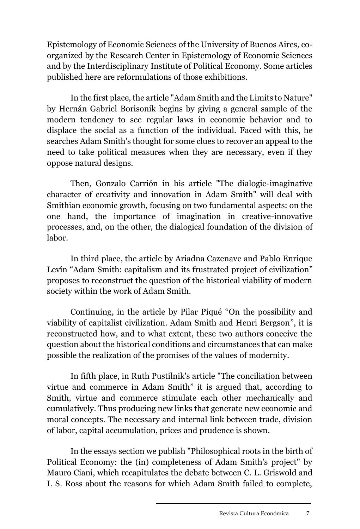Epistemology of Economic Sciences of the University of Buenos Aires, coorganized by the Research Center in Epistemology of Economic Sciences and by the Interdisciplinary Institute of Political Economy. Some articles published here are reformulations of those exhibitions.

In the first place, the article "Adam Smith and the Limits to Nature" by Hernán Gabriel Borisonik begins by giving a general sample of the modern tendency to see regular laws in economic behavior and to displace the social as a function of the individual. Faced with this, he searches Adam Smith's thought for some clues to recover an appeal to the need to take political measures when they are necessary, even if they oppose natural designs.

Then, Gonzalo Carrión in his article "The dialogic-imaginative character of creativity and innovation in Adam Smith" will deal with Smithian economic growth, focusing on two fundamental aspects: on the one hand, the importance of imagination in creative-innovative processes, and, on the other, the dialogical foundation of the division of labor.

In third place, the article by Ariadna Cazenave and Pablo Enrique Levín "Adam Smith: capitalism and its frustrated project of civilization" proposes to reconstruct the question of the historical viability of modern society within the work of Adam Smith.

Continuing, in the article by Pilar Piqué "On the possibility and viability of capitalist civilization. Adam Smith and Henri Bergson", it is reconstructed how, and to what extent, these two authors conceive the question about the historical conditions and circumstances that can make possible the realization of the promises of the values of modernity.

In fifth place, in Ruth Pustilnik's article "The conciliation between virtue and commerce in Adam Smith" it is argued that, according to Smith, virtue and commerce stimulate each other mechanically and cumulatively. Thus producing new links that generate new economic and moral concepts. The necessary and internal link between trade, division of labor, capital accumulation, prices and prudence is shown.

In the essays section we publish "Philosophical roots in the birth of Political Economy: the (in) completeness of Adam Smith's project" by Mauro Ciani, which recapitulates the debate between C. L. Griswold and I. S. Ross about the reasons for which Adam Smith failed to complete,